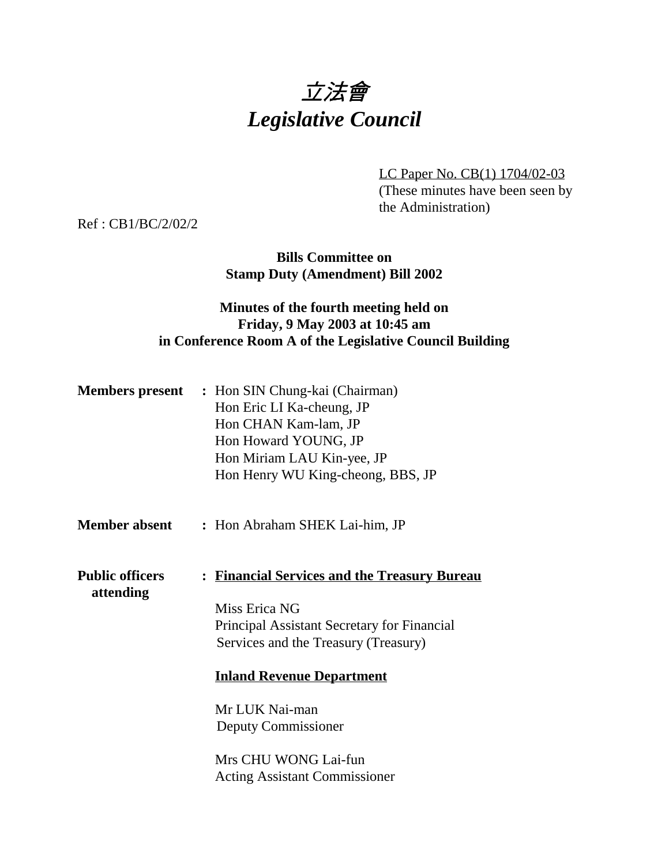

LC Paper No. CB(1) 1704/02-03 (These minutes have been seen by the Administration)

Ref : CB1/BC/2/02/2

**Bills Committee on Stamp Duty (Amendment) Bill 2002**

# **Minutes of the fourth meeting held on Friday, 9 May 2003 at 10:45 am in Conference Room A of the Legislative Council Building**

|                                     | <b>Members present</b> : Hon SIN Chung-kai (Chairman)<br>Hon Eric LI Ka-cheung, JP<br>Hon CHAN Kam-lam, JP<br>Hon Howard YOUNG, JP<br>Hon Miriam LAU Kin-yee, JP<br>Hon Henry WU King-cheong, BBS, JP |
|-------------------------------------|-------------------------------------------------------------------------------------------------------------------------------------------------------------------------------------------------------|
| <b>Member absent</b>                | : Hon Abraham SHEK Lai-him, JP                                                                                                                                                                        |
| <b>Public officers</b><br>attending | : Financial Services and the Treasury Bureau<br>Miss Erica NG<br><b>Principal Assistant Secretary for Financial</b><br>Services and the Treasury (Treasury)                                           |
|                                     | <b>Inland Revenue Department</b>                                                                                                                                                                      |
|                                     | Mr LUK Nai-man<br><b>Deputy Commissioner</b>                                                                                                                                                          |
|                                     | Mrs CHU WONG Lai-fun<br><b>Acting Assistant Commissioner</b>                                                                                                                                          |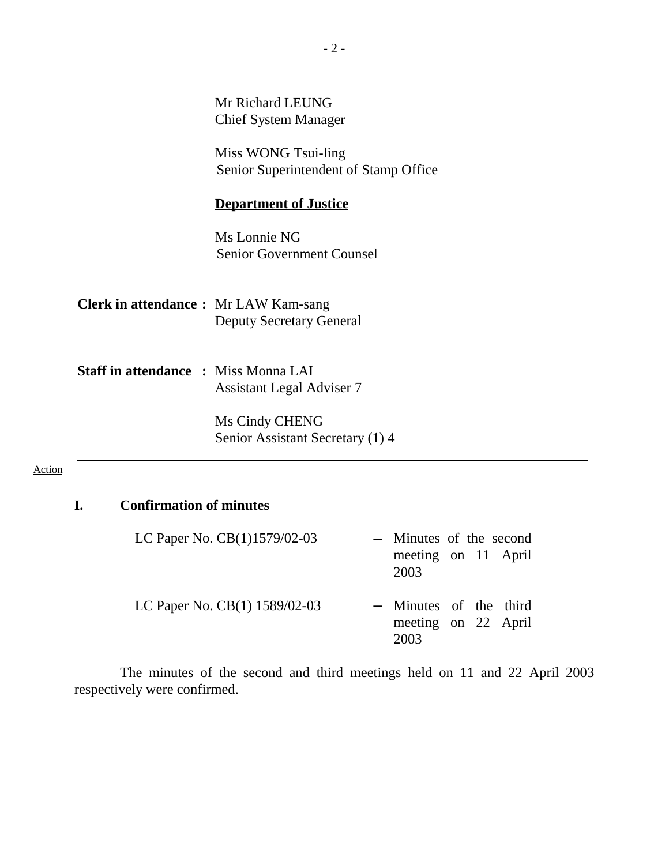Mr Richard LEUNG Chief System Manager

Miss WONG Tsui-ling Senior Superintendent of Stamp Office

#### **Department of Justice**

Ms Lonnie NG Senior Government Counsel

**Clerk in attendance :** Mr LAW Kam-sang Deputy Secretary General

**Staff in attendance :** Miss Monna LAI Assistant Legal Adviser 7

> Ms Cindy CHENG Senior Assistant Secretary (1) 4

#### Action

### **I. Confirmation of minutes**

| LC Paper No. CB(1)1579/02-03  | - Minutes of the second                               |  |  |
|-------------------------------|-------------------------------------------------------|--|--|
|                               | meeting on 11 April<br>2003                           |  |  |
| LC Paper No. CB(1) 1589/02-03 | - Minutes of the third<br>meeting on 22 April<br>2003 |  |  |

The minutes of the second and third meetings held on 11 and 22 April 2003 respectively were confirmed.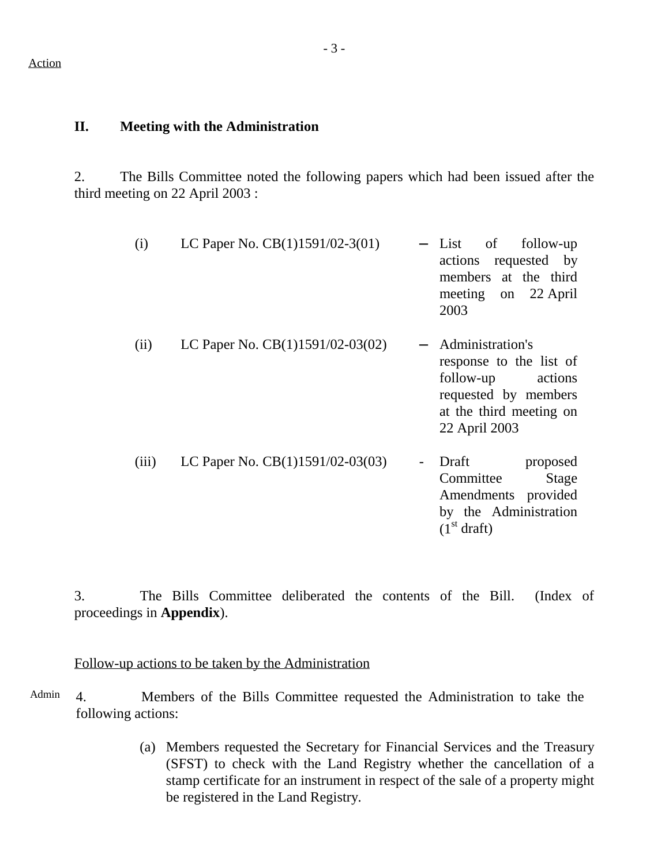#### **II. Meeting with the Administration**

2. The Bills Committee noted the following papers which had been issued after the third meeting on 22 April 2003 :

| (i)   | LC Paper No. $CB(1)1591/02-3(01)$  | $-$ List<br>of<br>follow-up<br>actions requested by<br>members at the third<br>meeting on 22 April<br>2003                              |
|-------|------------------------------------|-----------------------------------------------------------------------------------------------------------------------------------------|
| (ii)  | LC Paper No. $CB(1)1591/02-03(02)$ | Administration's<br>response to the list of<br>follow-up<br>actions<br>requested by members<br>at the third meeting on<br>22 April 2003 |
| (iii) | LC Paper No. $CB(1)1591/02-03(03)$ | Draft<br>proposed<br>Committee<br>Stage<br>Amendments provided<br>by the Administration<br>(1 <sup>st</sup> draft)                      |

3. The Bills Committee deliberated the contents of the Bill. (Index of proceedings in **Appendix**).

### Follow-up actions to be taken by the Administration

Admin 4. Members of the Bills Committee requested the Administration to take the following actions:

> (a) Members requested the Secretary for Financial Services and the Treasury (SFST) to check with the Land Registry whether the cancellation of a stamp certificate for an instrument in respect of the sale of a property might be registered in the Land Registry.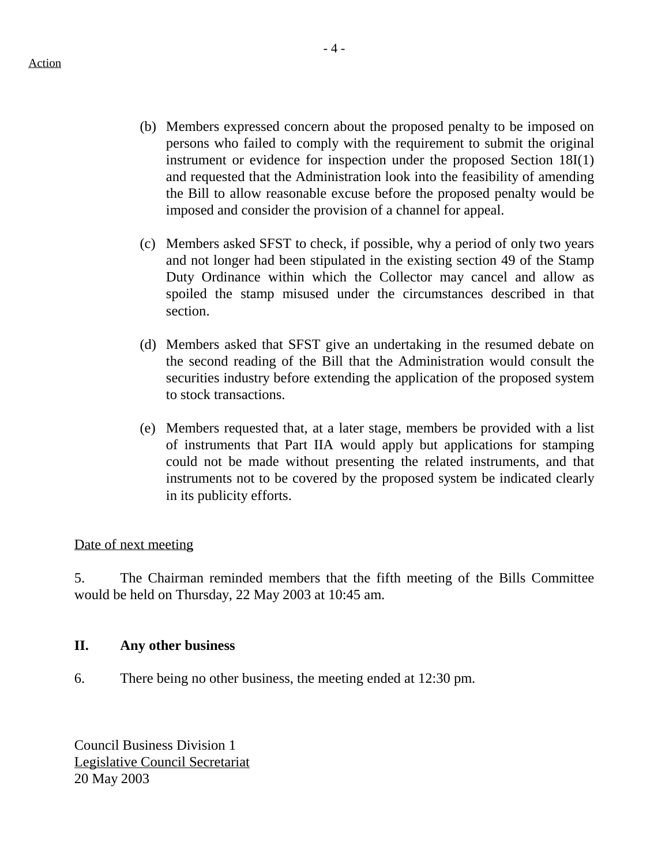- (b) Members expressed concern about the proposed penalty to be imposed on persons who failed to comply with the requirement to submit the original instrument or evidence for inspection under the proposed Section 18I(1) and requested that the Administration look into the feasibility of amending the Bill to allow reasonable excuse before the proposed penalty would be imposed and consider the provision of a channel for appeal.
- (c) Members asked SFST to check, if possible, why a period of only two years and not longer had been stipulated in the existing section 49 of the Stamp Duty Ordinance within which the Collector may cancel and allow as spoiled the stamp misused under the circumstances described in that section.
- (d) Members asked that SFST give an undertaking in the resumed debate on the second reading of the Bill that the Administration would consult the securities industry before extending the application of the proposed system to stock transactions.
- (e) Members requested that, at a later stage, members be provided with a list of instruments that Part IIA would apply but applications for stamping could not be made without presenting the related instruments, and that instruments not to be covered by the proposed system be indicated clearly in its publicity efforts.

### Date of next meeting

5. The Chairman reminded members that the fifth meeting of the Bills Committee would be held on Thursday, 22 May 2003 at 10:45 am.

### **II. Any other business**

6. There being no other business, the meeting ended at 12:30 pm.

Council Business Division 1 Legislative Council Secretariat 20 May 2003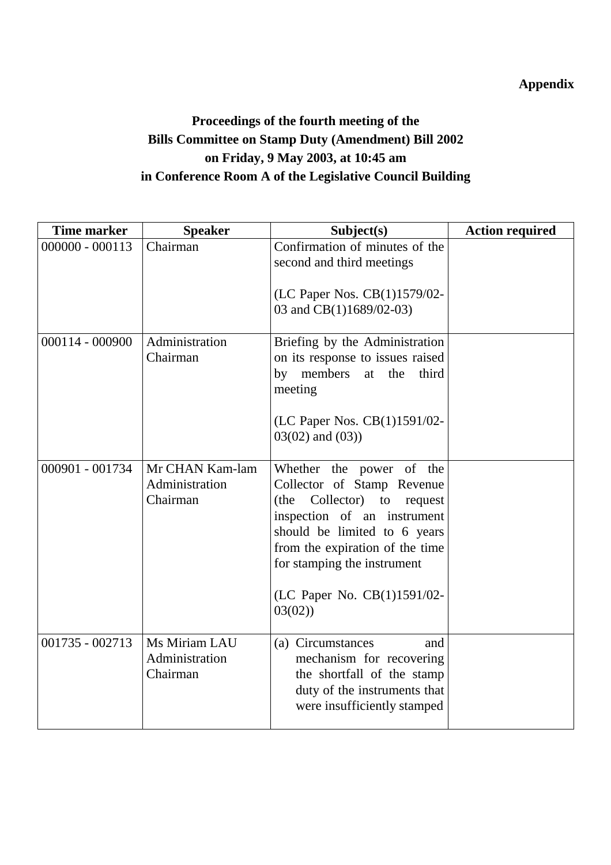# **Appendix**

# **Proceedings of the fourth meeting of the Bills Committee on Stamp Duty (Amendment) Bill 2002 on Friday, 9 May 2003, at 10:45 am in Conference Room A of the Legislative Council Building**

| <b>Time marker</b> | <b>Speaker</b>                                | Subject(s)                                                                                                                                                                                                                                                           | <b>Action required</b> |
|--------------------|-----------------------------------------------|----------------------------------------------------------------------------------------------------------------------------------------------------------------------------------------------------------------------------------------------------------------------|------------------------|
| $000000 - 000113$  | Chairman                                      | Confirmation of minutes of the<br>second and third meetings<br>(LC Paper Nos. CB(1)1579/02-<br>03 and CB(1)1689/02-03)                                                                                                                                               |                        |
| 000114 - 000900    | Administration<br>Chairman                    | Briefing by the Administration<br>on its response to issues raised<br>members<br>by<br>at<br>the<br>third<br>meeting<br>(LC Paper Nos. CB(1)1591/02-<br>$03(02)$ and $(03)$ )                                                                                        |                        |
| 000901 - 001734    | Mr CHAN Kam-lam<br>Administration<br>Chairman | Whether the power of the<br>Collector of Stamp Revenue<br>Collector) to<br>(the<br>request<br>inspection of an instrument<br>should be limited to 6 years<br>from the expiration of the time<br>for stamping the instrument<br>(LC Paper No. CB(1)1591/02-<br>03(02) |                        |
| 001735 - 002713    | Ms Miriam LAU<br>Administration<br>Chairman   | (a) Circumstances<br>and<br>mechanism for recovering<br>the shortfall of the stamp<br>duty of the instruments that<br>were insufficiently stamped                                                                                                                    |                        |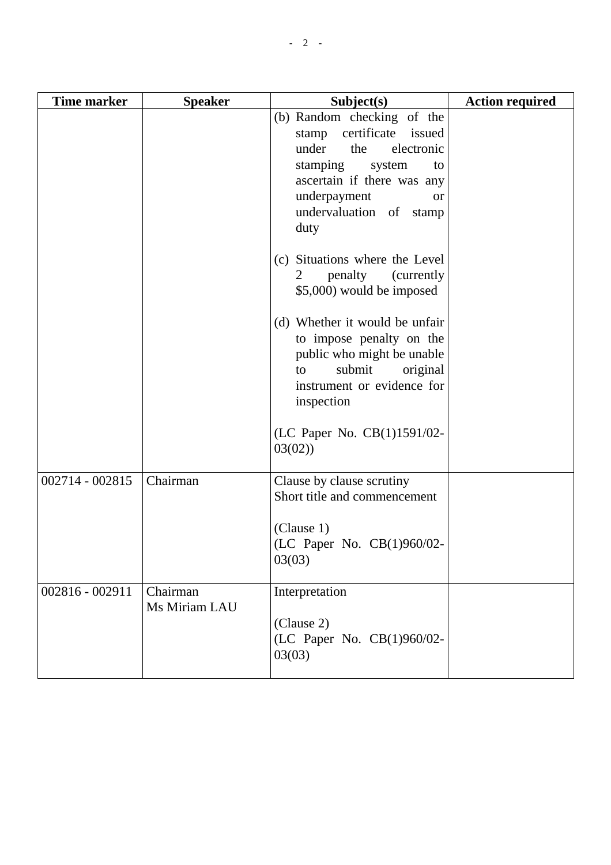| Time marker       | <b>Speaker</b>            | Subject(s)                                                                                                                                                                                                        | <b>Action required</b> |
|-------------------|---------------------------|-------------------------------------------------------------------------------------------------------------------------------------------------------------------------------------------------------------------|------------------------|
|                   |                           | (b) Random checking of the<br>stamp certificate issued<br>under<br>the<br>electronic<br>stamping<br>system<br>to<br>ascertain if there was any<br>underpayment<br><b>or</b><br>undervaluation of<br>stamp<br>duty |                        |
|                   |                           | (c) Situations where the Level<br>penalty<br>(currently)<br>$\overline{2}$<br>\$5,000) would be imposed                                                                                                           |                        |
|                   |                           | (d) Whether it would be unfair<br>to impose penalty on the<br>public who might be unable<br>submit<br>original<br>to<br>instrument or evidence for<br>inspection                                                  |                        |
|                   |                           | (LC Paper No. CB(1)1591/02-<br>03(02)                                                                                                                                                                             |                        |
| $002714 - 002815$ | Chairman                  | Clause by clause scrutiny<br>Short title and commencement                                                                                                                                                         |                        |
|                   |                           | (Clause 1)<br>(LC Paper No. CB(1)960/02-<br>03(03)                                                                                                                                                                |                        |
| 002816 - 002911   | Chairman<br>Ms Miriam LAU | Interpretation<br>(Clause 2)<br>(LC Paper No. CB(1)960/02-<br>03(03)                                                                                                                                              |                        |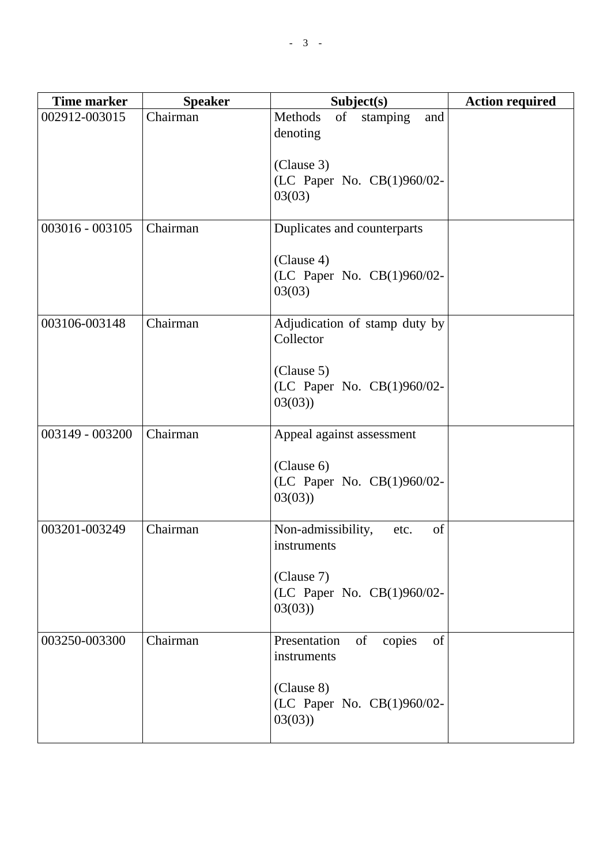| <b>Time marker</b> | <b>Speaker</b> | Subject(s)                                         | <b>Action required</b> |
|--------------------|----------------|----------------------------------------------------|------------------------|
| 002912-003015      | Chairman       | Methods<br>of<br>stamping<br>and<br>denoting       |                        |
|                    |                | (Clause 3)<br>(LC Paper No. CB(1)960/02-<br>03(03) |                        |
| 003016 - 003105    | Chairman       | Duplicates and counterparts                        |                        |
|                    |                | (Clause 4)<br>(LC Paper No. CB(1)960/02-<br>03(03) |                        |
| 003106-003148      | Chairman       | Adjudication of stamp duty by<br>Collector         |                        |
|                    |                | (Clause 5)<br>(LC Paper No. CB(1)960/02-<br>03(03) |                        |
| 003149 - 003200    | Chairman       | Appeal against assessment                          |                        |
|                    |                | (Clause 6)<br>(LC Paper No. CB(1)960/02-<br>03(03) |                        |
| 003201-003249      | Chairman       | of<br>Non-admissibility,<br>etc.<br>instruments    |                        |
|                    |                | (Clause 7)<br>(LC Paper No. CB(1)960/02-<br>03(03) |                        |
| 003250-003300      | Chairman       | of<br>copies<br>Presentation<br>of<br>instruments  |                        |
|                    |                | (Clause 8)<br>(LC Paper No. CB(1)960/02-<br>03(03) |                        |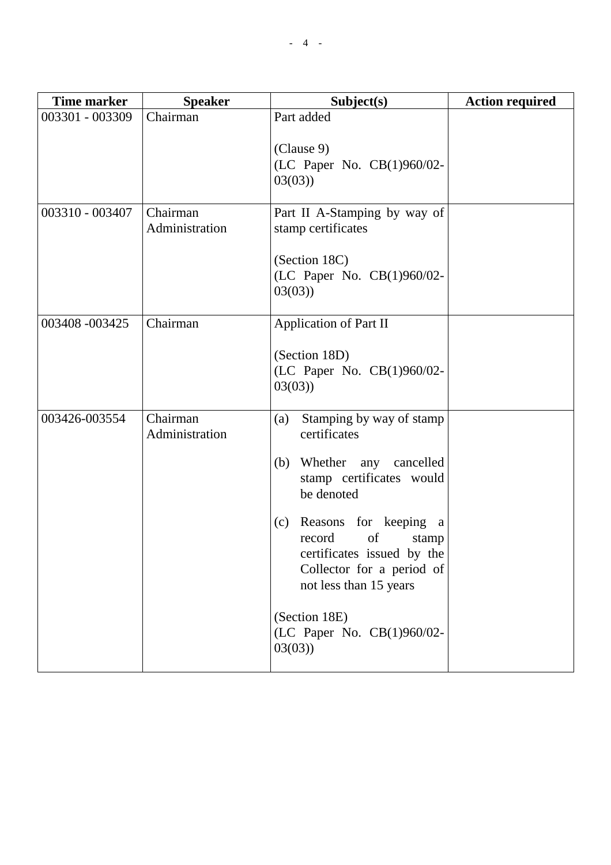| <b>Time marker</b> | <b>Speaker</b>             | Subject(s)                                                                                                                                                                                                                                                                                                                 | <b>Action required</b> |
|--------------------|----------------------------|----------------------------------------------------------------------------------------------------------------------------------------------------------------------------------------------------------------------------------------------------------------------------------------------------------------------------|------------------------|
| 003301 - 003309    | Chairman                   | Part added<br>(Clause 9)<br>(LC Paper No. CB(1)960/02-<br>03(03)                                                                                                                                                                                                                                                           |                        |
| 003310 - 003407    | Chairman<br>Administration | Part II A-Stamping by way of<br>stamp certificates<br>(Section 18C)<br>(LC Paper No. CB(1)960/02-<br>03(03)                                                                                                                                                                                                                |                        |
| 003408 -003425     | Chairman                   | <b>Application of Part II</b><br>(Section 18D)<br>(LC Paper No. CB(1)960/02-<br>03(03)                                                                                                                                                                                                                                     |                        |
| 003426-003554      | Chairman<br>Administration | Stamping by way of stamp<br>(a)<br>certificates<br>(b) Whether any cancelled<br>stamp certificates would<br>be denoted<br>(c) Reasons for keeping a<br>of<br>record<br>stamp<br>certificates issued by the<br>Collector for a period of<br>not less than 15 years<br>(Section 18E)<br>(LC Paper No. CB(1)960/02-<br>03(03) |                        |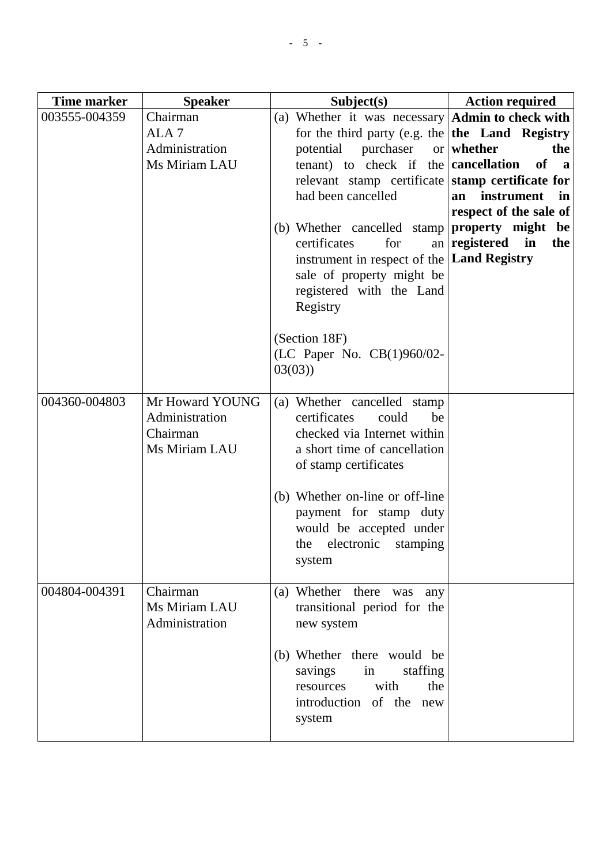| <b>Time marker</b> | <b>Speaker</b>                                                  | Subject(s)                                                                                                                                                                                                                                                                                                                                                                                                                                                                           | <b>Action required</b>                                                                                                                                                                 |
|--------------------|-----------------------------------------------------------------|--------------------------------------------------------------------------------------------------------------------------------------------------------------------------------------------------------------------------------------------------------------------------------------------------------------------------------------------------------------------------------------------------------------------------------------------------------------------------------------|----------------------------------------------------------------------------------------------------------------------------------------------------------------------------------------|
| 003555-004359      | Chairman<br>ALA <sub>7</sub><br>Administration<br>Ms Miriam LAU | (a) Whether it was necessary $\vert$ Admin to check with<br>for the third party (e.g. the $\vert$ the Land Registry<br>potential<br>purchaser<br>tenant) to check if the <b>cancellation</b><br>relevant stamp certificate<br>had been cancelled<br>(b) Whether cancelled stamp<br>certificates<br>for<br>instrument in respect of the   Land Registry<br>sale of property might be<br>registered with the Land<br>Registry<br>(Section 18F)<br>(LC Paper No. CB(1)960/02-<br>03(03) | or whether<br>the<br><b>of</b><br>$\mathbf{a}$<br>stamp certificate for<br>instrument<br>$\mathbf{in}$<br>an<br>respect of the sale of<br>property might be<br>an registered in<br>the |
| 004360-004803      | Mr Howard YOUNG<br>Administration<br>Chairman<br>Ms Miriam LAU  | (a) Whether cancelled stamp<br>certificates<br>could<br>be<br>checked via Internet within<br>a short time of cancellation<br>of stamp certificates<br>(b) Whether on-line or off-line<br>payment for stamp duty<br>would be accepted under<br>electronic<br>stamping<br>the<br>system                                                                                                                                                                                                |                                                                                                                                                                                        |
| 004804-004391      | Chairman<br>Ms Miriam LAU<br>Administration                     | (a) Whether there<br>was<br>any<br>transitional period for the<br>new system<br>(b) Whether there would be<br>staffing<br>savings<br>in<br>with<br>the<br>resources<br>introduction of the<br>new<br>system                                                                                                                                                                                                                                                                          |                                                                                                                                                                                        |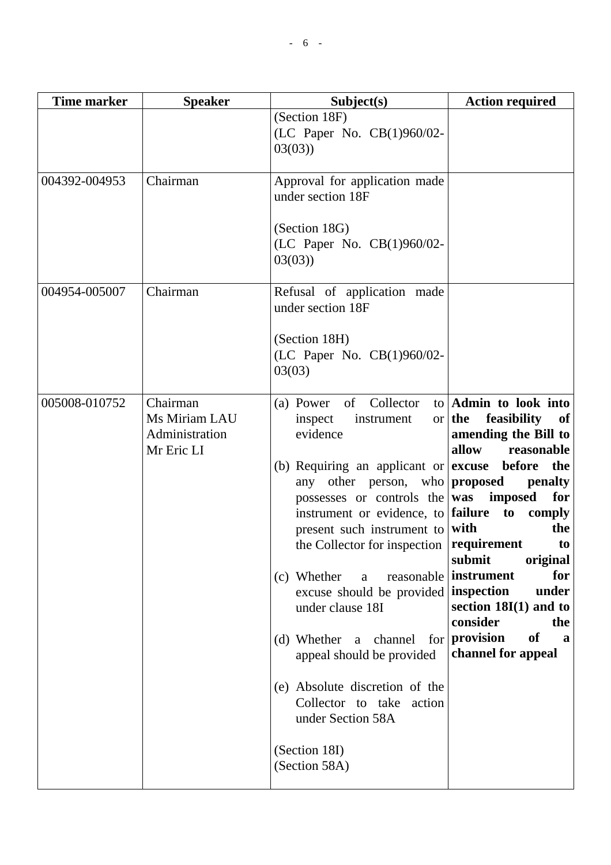|               |                                                           | (Section 18F)<br>(LC Paper No. CB(1)960/02-<br>03(03)                                                                                                                                                                                                                                                                                                                                                                                                                                                                                                                  |                                                                                                                                                                                                                                                                                                                                                                          |
|---------------|-----------------------------------------------------------|------------------------------------------------------------------------------------------------------------------------------------------------------------------------------------------------------------------------------------------------------------------------------------------------------------------------------------------------------------------------------------------------------------------------------------------------------------------------------------------------------------------------------------------------------------------------|--------------------------------------------------------------------------------------------------------------------------------------------------------------------------------------------------------------------------------------------------------------------------------------------------------------------------------------------------------------------------|
| 004392-004953 | Chairman                                                  | Approval for application made<br>under section 18F<br>(Section 18G)<br>(LC Paper No. CB(1)960/02-<br>03(03)                                                                                                                                                                                                                                                                                                                                                                                                                                                            |                                                                                                                                                                                                                                                                                                                                                                          |
| 004954-005007 | Chairman                                                  | Refusal of application made<br>under section 18F<br>(Section 18H)<br>(LC Paper No. CB(1)960/02-<br>03(03)                                                                                                                                                                                                                                                                                                                                                                                                                                                              |                                                                                                                                                                                                                                                                                                                                                                          |
| 005008-010752 | Chairman<br>Ms Miriam LAU<br>Administration<br>Mr Eric LI | of Collector<br>(a) Power<br>inspect<br>instrument<br>evidence<br>(b) Requiring an applicant or $ $ <b>excuse</b> before<br>other person, who<br>any<br>possesses or controls the was<br>instrument or evidence, to failure<br>present such instrument to with<br>the Collector for inspection<br>(c) Whether<br>$\rm{a}$<br>excuse should be provided inspection<br>under clause 18I<br>$(d)$ Whether a channel for<br>appeal should be provided<br>(e) Absolute discretion of the<br>Collector to take action<br>under Section 58A<br>(Section 18I)<br>(Section 58A) | to $\lambda$ Admin to look into<br>feasibility<br>$or$ the<br>of<br>amending the Bill to<br>allow<br>reasonable<br>the<br>proposed<br>penalty<br>imposed<br>for<br>to<br>comply<br>the<br>requirement<br>to<br>submit<br>original<br>reasonable   instrument<br>for<br>under<br>section $18I(1)$ and to<br>consider<br>the<br>provision<br>of<br>a<br>channel for appeal |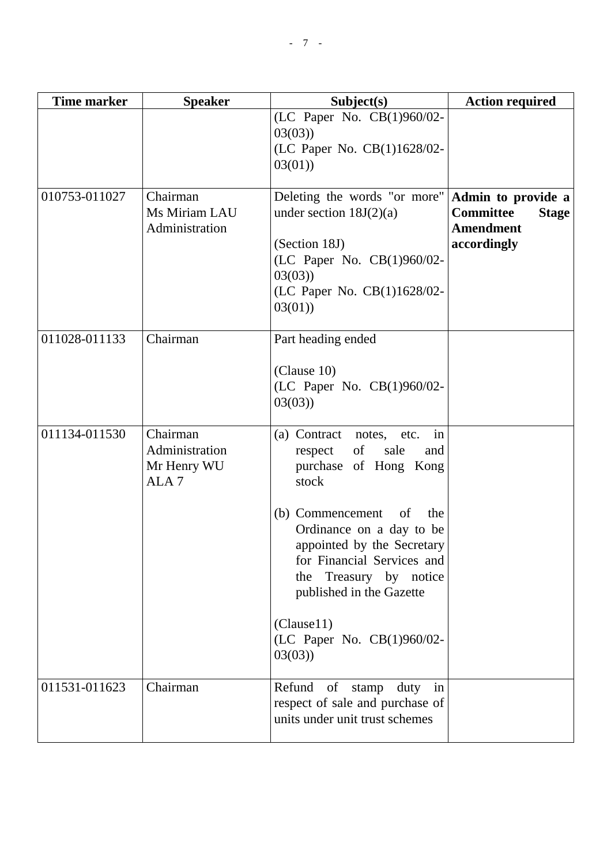| Time marker   | <b>Speaker</b>                                                | Subject(s)                                                                                                                                                                                                                                                                                                                                  | <b>Action required</b>                                                                    |
|---------------|---------------------------------------------------------------|---------------------------------------------------------------------------------------------------------------------------------------------------------------------------------------------------------------------------------------------------------------------------------------------------------------------------------------------|-------------------------------------------------------------------------------------------|
|               |                                                               | (LC Paper No. CB(1)960/02-<br>03(03)<br>(LC Paper No. CB(1)1628/02-<br>03(01)                                                                                                                                                                                                                                                               |                                                                                           |
| 010753-011027 | Chairman<br>Ms Miriam LAU<br>Administration                   | Deleting the words "or more"<br>under section $18J(2)(a)$<br>(Section 18J)<br>(LC Paper No. CB(1)960/02-<br>03(03)<br>(LC Paper No. CB(1)1628/02-<br>03(01)                                                                                                                                                                                 | Admin to provide a<br><b>Committee</b><br><b>Stage</b><br><b>Amendment</b><br>accordingly |
| 011028-011133 | Chairman                                                      | Part heading ended<br>(Clause 10)<br>(LC Paper No. CB(1)960/02-<br>03(03)                                                                                                                                                                                                                                                                   |                                                                                           |
| 011134-011530 | Chairman<br>Administration<br>Mr Henry WU<br>ALA <sub>7</sub> | in<br>(a) Contract<br>notes, etc.<br>of<br>respect<br>sale<br>and<br>purchase of Hong Kong<br>stock<br>(b) Commencement<br>of<br>the<br>Ordinance on a day to be<br>appointed by the Secretary<br>for Financial Services and<br>Treasury by notice<br>the<br>published in the Gazette<br>(Clause11)<br>(LC Paper No. CB(1)960/02-<br>03(03) |                                                                                           |
| 011531-011623 | Chairman                                                      | Refund of stamp<br>duty in<br>respect of sale and purchase of<br>units under unit trust schemes                                                                                                                                                                                                                                             |                                                                                           |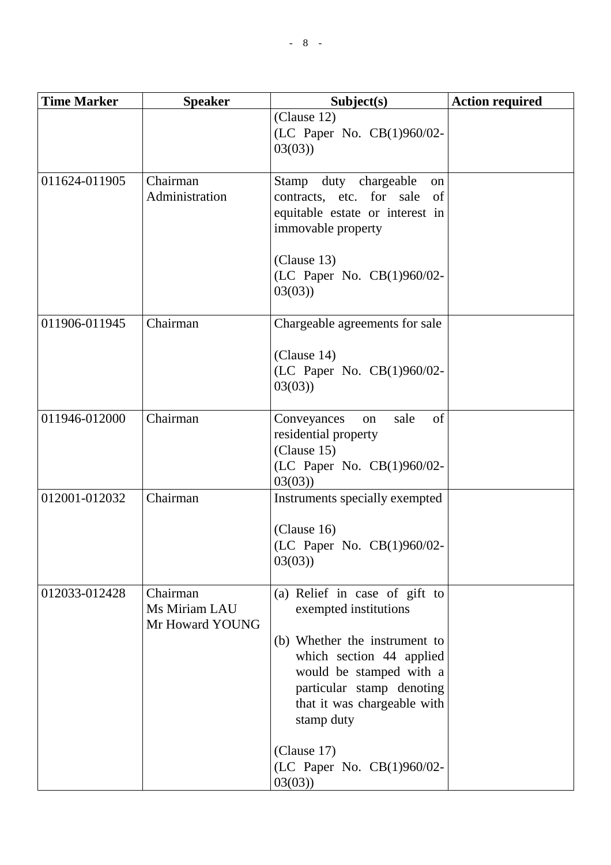| <b>Time Marker</b> | <b>Speaker</b>                               | Subject(s)                                                                                                                                                     | <b>Action required</b> |
|--------------------|----------------------------------------------|----------------------------------------------------------------------------------------------------------------------------------------------------------------|------------------------|
|                    |                                              | (Clause 12)<br>(LC Paper No. CB(1)960/02-<br>03(03)                                                                                                            |                        |
| 011624-011905      | Chairman<br>Administration                   | Stamp duty chargeable<br><sub>on</sub><br>contracts, etc. for sale of<br>equitable estate or interest in<br>immovable property                                 |                        |
|                    |                                              | (Clause 13)<br>(LC Paper No. CB(1)960/02-<br>03(03)                                                                                                            |                        |
| 011906-011945      | Chairman                                     | Chargeable agreements for sale                                                                                                                                 |                        |
|                    |                                              | (Clause 14)<br>(LC Paper No. CB(1)960/02-<br>03(03)                                                                                                            |                        |
| 011946-012000      | Chairman                                     | of<br>sale<br>Conveyances<br>on<br>residential property<br>(Clause 15)<br>(LC Paper No. CB(1)960/02-<br>03(03)                                                 |                        |
| 012001-012032      | Chairman                                     | Instruments specially exempted                                                                                                                                 |                        |
|                    |                                              | (Clause 16)<br>(LC Paper No. CB(1)960/02-<br>03(03)                                                                                                            |                        |
| 012033-012428      | Chairman<br>Ms Miriam LAU<br>Mr Howard YOUNG | (a) Relief in case of gift to<br>exempted institutions                                                                                                         |                        |
|                    |                                              | (b) Whether the instrument to<br>which section 44 applied<br>would be stamped with a<br>particular stamp denoting<br>that it was chargeable with<br>stamp duty |                        |
|                    |                                              | (Clause 17)<br>(LC Paper No. CB(1)960/02-<br>03(03)                                                                                                            |                        |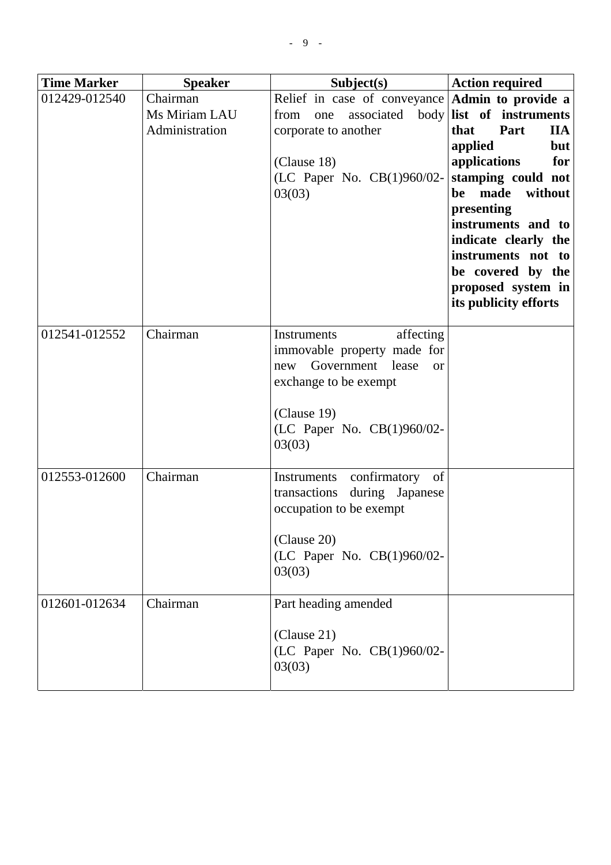| <b>Time Marker</b> | <b>Speaker</b>                              | Subject(s)                                                                                                                                                               | <b>Action required</b>                                                                                                                                                                                                                                                                                                 |
|--------------------|---------------------------------------------|--------------------------------------------------------------------------------------------------------------------------------------------------------------------------|------------------------------------------------------------------------------------------------------------------------------------------------------------------------------------------------------------------------------------------------------------------------------------------------------------------------|
| 012429-012540      | Chairman<br>Ms Miriam LAU<br>Administration | Relief in case of conveyance $\text{Admin}$ to provide a<br>from<br>one<br>corporate to another<br>(Clause 18)<br>(LC Paper No. CB(1)960/02-<br>03(03)                   | associated body list of instruments<br>Part<br><b>IIA</b><br>that<br>applied<br><b>but</b><br>applications<br>for<br>stamping could not<br>made<br>without<br>be<br>presenting<br>instruments and to<br>indicate clearly the<br>instruments not to<br>be covered by the<br>proposed system in<br>its publicity efforts |
| 012541-012552      | Chairman                                    | affecting<br>Instruments<br>immovable property made for<br>Government lease<br>new<br>or<br>exchange to be exempt<br>(Clause 19)<br>(LC Paper No. CB(1)960/02-<br>03(03) |                                                                                                                                                                                                                                                                                                                        |
| 012553-012600      | Chairman                                    | confirmatory of<br>Instruments<br>transactions during Japanese<br>occupation to be exempt<br>(Clause 20)<br>(LC Paper No. CB(1)960/02-<br>03(03)                         |                                                                                                                                                                                                                                                                                                                        |
| 012601-012634      | Chairman                                    | Part heading amended<br>(Clause 21)<br>(LC Paper No. CB(1)960/02-<br>03(03)                                                                                              |                                                                                                                                                                                                                                                                                                                        |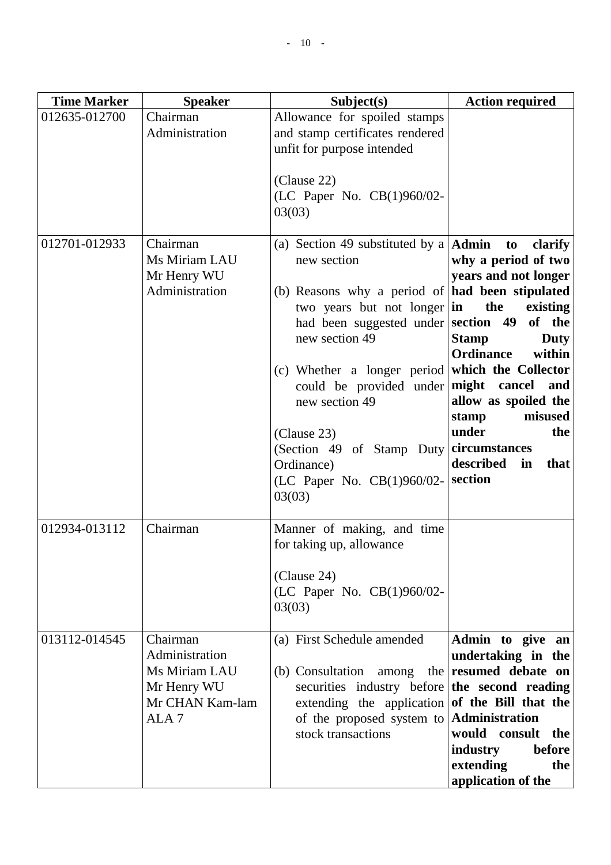| <b>Time Marker</b> | <b>Speaker</b>                                                                                    | Subject(s)                                                                                                                                                                                                                                                                                                                                                                                | <b>Action required</b>                                                                                                                                                                                                                                                                                                 |
|--------------------|---------------------------------------------------------------------------------------------------|-------------------------------------------------------------------------------------------------------------------------------------------------------------------------------------------------------------------------------------------------------------------------------------------------------------------------------------------------------------------------------------------|------------------------------------------------------------------------------------------------------------------------------------------------------------------------------------------------------------------------------------------------------------------------------------------------------------------------|
| 012635-012700      | Chairman<br>Administration                                                                        | Allowance for spoiled stamps<br>and stamp certificates rendered<br>unfit for purpose intended<br>(Clause 22)<br>(LC Paper No. CB(1)960/02-<br>03(03)                                                                                                                                                                                                                                      |                                                                                                                                                                                                                                                                                                                        |
| 012701-012933      | Chairman<br>Ms Miriam LAU<br>Mr Henry WU<br>Administration                                        | (a) Section 49 substituted by a $\mathrm{Admin}$<br>new section<br>(b) Reasons why a period of $ $ had been stipulated<br>two years but not longer<br>had been suggested under section 49<br>new section 49<br>(c) Whether a longer period<br>could be provided under<br>new section 49<br>(Clause 23)<br>(Section 49 of Stamp Duty<br>Ordinance)<br>(LC Paper No. CB(1)960/02-<br>03(03) | clarify<br>to<br>why a period of two<br>years and not longer<br>the<br>existing<br>in<br>of the<br><b>Stamp</b><br>Duty<br>within<br><b>Ordinance</b><br>which the Collector<br>might cancel<br>and<br>allow as spoiled the<br>misused<br>stamp<br>under<br>the<br>circumstances<br>described<br>in<br>that<br>section |
| 012934-013112      | Chairman                                                                                          | Manner of making, and time<br>for taking up, allowance<br>(Clause 24)<br>(LC Paper No. CB(1)960/02-<br>03(03)                                                                                                                                                                                                                                                                             |                                                                                                                                                                                                                                                                                                                        |
| 013112-014545      | Chairman<br>Administration<br>Ms Miriam LAU<br>Mr Henry WU<br>Mr CHAN Kam-lam<br>ALA <sub>7</sub> | (a) First Schedule amended<br>(b) Consultation<br>among<br>the<br>securities industry before<br>extending the application<br>of the proposed system to<br>stock transactions                                                                                                                                                                                                              | Admin to give an<br>undertaking in the<br>resumed debate on<br>the second reading<br>of the Bill that the<br>Administration<br>would consult<br>the<br>industry<br>before<br>extending<br>the<br>application of the                                                                                                    |